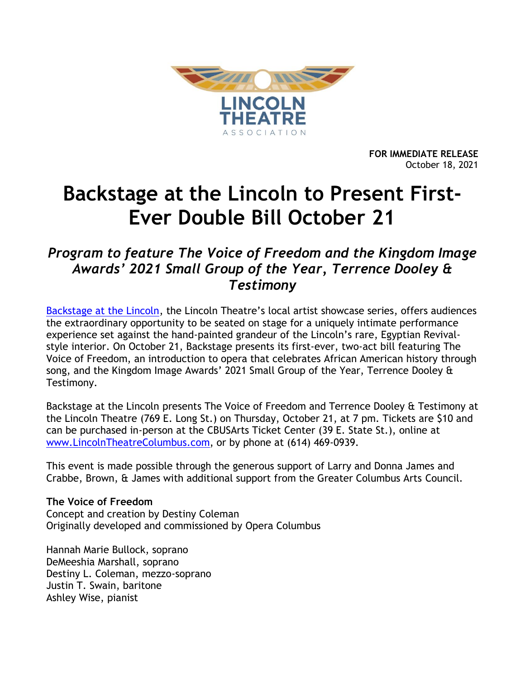

**FOR IMMEDIATE RELEASE** October 18, 2021

# **Backstage at the Lincoln to Present First-Ever Double Bill October 21**

## *Program to feature The Voice of Freedom and the Kingdom Image Awards' 2021 Small Group of the Year, Terrence Dooley & Testimony*

[Backstage at the Lincoln,](https://www.lincolntheatrecolumbus.com/backstage/) the Lincoln Theatre's local artist showcase series, offers audiences the extraordinary opportunity to be seated on stage for a uniquely intimate performance experience set against the hand-painted grandeur of the Lincoln's rare, Egyptian Revivalstyle interior. On October 21, Backstage presents its first-ever, two-act bill featuring The Voice of Freedom, an introduction to opera that celebrates African American history through song, and the Kingdom Image Awards' 2021 Small Group of the Year, Terrence Dooley & Testimony.

Backstage at the Lincoln presents The Voice of Freedom and Terrence Dooley & Testimony at the Lincoln Theatre (769 E. Long St.) on Thursday, October 21, at 7 pm. Tickets are \$10 and can be purchased in-person at the CBUSArts Ticket Center (39 E. State St.), online at [www.LincolnTheatreColumbus.com,](http://www.lincolntheatrecolumbus.com/) or by phone at (614) 469-0939.

This event is made possible through the generous support of Larry and Donna James and Crabbe, Brown, & James with additional support from the Greater Columbus Arts Council.

#### **The Voice of Freedom**

Concept and creation by Destiny Coleman Originally developed and commissioned by Opera Columbus

Hannah Marie Bullock, soprano DeMeeshia Marshall, soprano Destiny L. Coleman, mezzo-soprano Justin T. Swain, baritone Ashley Wise, pianist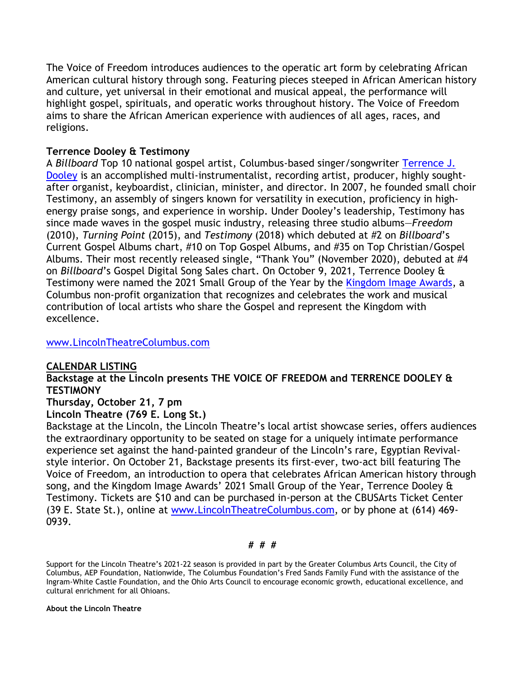The Voice of Freedom introduces audiences to the operatic art form by celebrating African American cultural history through song. Featuring pieces steeped in African American history and culture, yet universal in their emotional and musical appeal, the performance will highlight gospel, spirituals, and operatic works throughout history. The Voice of Freedom aims to share the African American experience with audiences of all ages, races, and religions.

### **Terrence Dooley & Testimony**

A *Billboard* Top 10 national gospel artist, Columbus-based singer/songwriter [Terrence J.](https://www.terrencejdooley.com/?fbclid=IwAR38Z4wAGnccyn_vfMxwCT8ZtKcYqjr73dMVE3_jUIFHj7T85u4LblL-U9s)  [Dooley](https://www.terrencejdooley.com/?fbclid=IwAR38Z4wAGnccyn_vfMxwCT8ZtKcYqjr73dMVE3_jUIFHj7T85u4LblL-U9s) is an accomplished multi-instrumentalist, recording artist, producer, highly soughtafter organist, keyboardist, clinician, minister, and director. In 2007, he founded small choir Testimony, an assembly of singers known for versatility in execution, proficiency in highenergy praise songs, and experience in worship. Under Dooley's leadership, Testimony has since made waves in the gospel music industry, releasing three studio albums—*Freedom* (2010), *Turning Point* (2015), and *Testimony* (2018) which debuted at #2 on *Billboard*'s Current Gospel Albums chart, #10 on Top Gospel Albums, and #35 on Top Christian/Gospel Albums. Their most recently released single, "Thank You" (November 2020), debuted at #4 on *Billboard*'s Gospel Digital Song Sales chart. On October 9, 2021, Terrence Dooley & Testimony were named the 2021 Small Group of the Year by the [Kingdom Image Awards,](https://kingdomimageawards.com/) a Columbus non-profit organization that recognizes and celebrates the work and musical contribution of local artists who share the Gospel and represent the Kingdom with excellence.

#### [www.LincolnTheatreColumbus.com](http://www.lincolntheatrecolumbus.com/)

#### **CALENDAR LISTING**

**Backstage at the Lincoln presents THE VOICE OF FREEDOM and TERRENCE DOOLEY & TESTIMONY**

#### **Thursday, October 21, 7 pm**

#### **Lincoln Theatre (769 E. Long St.)**

Backstage at the Lincoln, the Lincoln Theatre's local artist showcase series, offers audiences the extraordinary opportunity to be seated on stage for a uniquely intimate performance experience set against the hand-painted grandeur of the Lincoln's rare, Egyptian Revivalstyle interior. On October 21, Backstage presents its first-ever, two-act bill featuring The Voice of Freedom, an introduction to opera that celebrates African American history through song, and the Kingdom Image Awards' 2021 Small Group of the Year, Terrence Dooley & Testimony. Tickets are \$10 and can be purchased in-person at the CBUSArts Ticket Center (39 E. State St.), online at [www.LincolnTheatreColumbus.com,](http://www.lincolntheatrecolumbus.com/) or by phone at (614) 469- 0939.

#### **# # #**

Support for the Lincoln Theatre's 2021-22 season is provided in part by the Greater Columbus Arts Council, the City of Columbus, AEP Foundation, Nationwide, The Columbus Foundation's Fred Sands Family Fund with the assistance of the Ingram-White Castle Foundation, and the Ohio Arts Council to encourage economic growth, educational excellence, and cultural enrichment for all Ohioans.

#### **About the Lincoln Theatre**